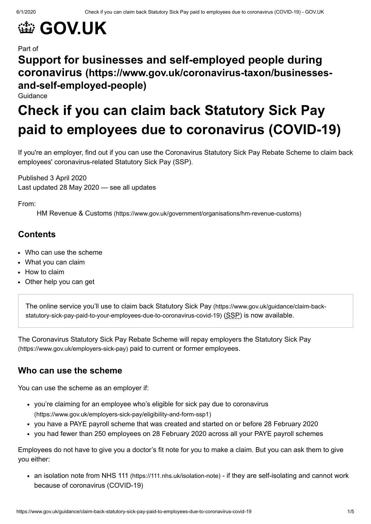# **金 [GOV.UK](https://www.gov.uk/)**

#### Part of

## **[Support for businesses and self-employed people during](https://www.gov.uk/coronavirus-taxon/businesses-and-self-employed-people) coronavirus (https://www.gov.uk/coronavirus-taxon/businessesand-self-employed-people)**

Guidance

## **Check if you can claim back Statutory Sick Pay paid to employees due to coronavirus (COVID-19)**

If you're an employer, find out if you can use the Coronavirus Statutory Sick Pay Rebate Scheme to claim back employees' coronavirus-related Statutory Sick Pay (SSP).

Published 3 April 2020 Last updated 28 May 2020 — see all [updates](#page-3-0)

From:

HM Revenue & Customs [\(https://www.gov.uk/government/organisations/hm-revenue-customs\)](https://www.gov.uk/government/organisations/hm-revenue-customs)

## **Contents**

- Who can use the [scheme](#page-0-0)
- [What](#page-1-0) you can claim
- How to [claim](#page-2-0)
- [Other](#page-3-1) help you can get

The online service you'll use to claim back Statutory Sick Pay (https://www.gov.uk/guidance/claim-back[statutory-sick-pay-paid-to-your-employees-due-to-coronavirus-covid-19\)](https://www.gov.uk/guidance/claim-back-statutory-sick-pay-paid-to-your-employees-due-to-coronavirus-covid-19) (SSP) is now available.

The Coronavirus Statutory Sick Pay Rebate Scheme will repay employers the Statutory Sick Pay [\(https://www.gov.uk/employers-sick-pay\)](https://www.gov.uk/employers-sick-pay) paid to current or former employees.

## <span id="page-0-0"></span>**Who can use the scheme**

You can use the scheme as an employer if:

- you're claiming for an employee who's eligible for sick pay due to coronavirus [\(https://www.gov.uk/employers-sick-pay/eligibility-and-form-ssp1\)](https://www.gov.uk/employers-sick-pay/eligibility-and-form-ssp1)
- you have a PAYE payroll scheme that was created and started on or before 28 February 2020
- you had fewer than 250 employees on 28 February 2020 across all your PAYE payroll schemes

Employees do not have to give you a doctor's fit note for you to make a claim. But you can ask them to give you either:

an isolation note from NHS 111 [\(https://111.nhs.uk/isolation-note\)](https://111.nhs.uk/isolation-note) - if they are self-isolating and cannot work because of coronavirus (COVID-19)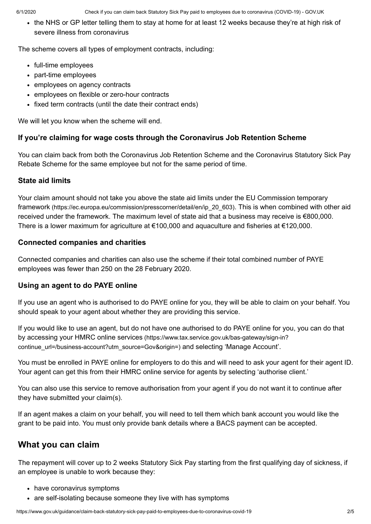the NHS or GP letter telling them to stay at home for at least 12 weeks because they're at high risk of severe illness from coronavirus

The scheme covers all types of employment contracts, including:

- full-time employees
- part-time employees
- employees on agency contracts
- employees on flexible or zero-hour contracts
- fixed term contracts (until the date their contract ends)

We will let you know when the scheme will end.

#### **If you're claiming for wage costs through the Coronavirus Job Retention Scheme**

You can claim back from both the Coronavirus Job Retention Scheme and the Coronavirus Statutory Sick Pay Rebate Scheme for the same employee but not for the same period of time.

#### **State aid limits**

Your claim amount should not take you above the state aid limits under the EU Commission temporary framework [\(https://ec.europa.eu/commission/presscorner/detail/en/ip\\_20\\_603\)](https://ec.europa.eu/commission/presscorner/detail/en/ip_20_603). This is when combined with other aid received under the framework. The maximum level of state aid that a business may receive is €800,000. There is a lower maximum for agriculture at €100,000 and aquaculture and fisheries at €120,000.

#### **Connected companies and charities**

Connected companies and charities can also use the scheme if their total combined number of PAYE employees was fewer than 250 on the 28 February 2020.

#### **Using an agent to do PAYE online**

If you use an agent who is authorised to do PAYE online for you, they will be able to claim on your behalf. You should speak to your agent about whether they are providing this service.

If you would like to use an agent, but do not have one authorised to do PAYE online for you, you can do that by accessing your HMRC online services (https://www.tax.service.gov.uk/bas-gateway/sign-in? [continue\\_url=/business-account?utm\\_source=Gov&origin=\)](https://www.tax.service.gov.uk/bas-gateway/sign-in?continue_url=/business-account?utm_source=Gov&origin=) and selecting 'Manage Account'.

You must be enrolled in PAYE online for employers to do this and will need to ask your agent for their agent ID. Your agent can get this from their HMRC online service for agents by selecting 'authorise client.'

You can also use this service to remove authorisation from your agent if you do not want it to continue after they have submitted your claim(s).

If an agent makes a claim on your behalf, you will need to tell them which bank account you would like the grant to be paid into. You must only provide bank details where a BACS payment can be accepted.

## <span id="page-1-0"></span>**What you can claim**

The repayment will cover up to 2 weeks Statutory Sick Pay starting from the first qualifying day of sickness, if an employee is unable to work because they:

- have coronavirus symptoms
- are self-isolating because someone they live with has symptoms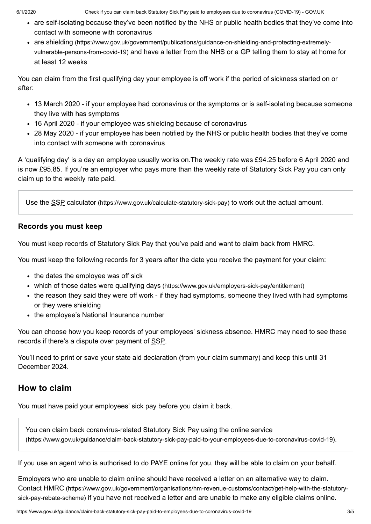- are self-isolating because they've been notified by the NHS or public health bodies that they've come into contact with someone with coronavirus
- are shielding [\(https://www.gov.uk/government/publications/guidance-on-shielding-and-protecting-extremely](https://www.gov.uk/government/publications/guidance-on-shielding-and-protecting-extremely-vulnerable-persons-from-covid-19)vulnerable-persons-from-covid-19) and have a letter from the NHS or a GP telling them to stay at home for at least 12 weeks

You can claim from the first qualifying day your employee is off work if the period of sickness started on or after:

- 13 March 2020 if your employee had coronavirus or the symptoms or is self-isolating because someone they live with has symptoms
- 16 April 2020 if your employee was shielding because of coronavirus
- 28 May 2020 if your employee has been notified by the NHS or public health bodies that they've come into contact with someone with coronavirus

A 'qualifying day' is a day an employee usually works on.The weekly rate was £94.25 before 6 April 2020 and is now £95.85. If you're an employer who pays more than the weekly rate of Statutory Sick Pay you can only claim up to the weekly rate paid.

Use the SSP calculator [\(https://www.gov.uk/calculate-statutory-sick-pay\)](https://www.gov.uk/calculate-statutory-sick-pay) to work out the actual amount.

## **Records you must keep**

You must keep records of Statutory Sick Pay that you've paid and want to claim back from HMRC.

You must keep the following records for 3 years after the date you receive the payment for your claim:

- the dates the employee was off sick
- which of those dates were qualifying days [\(https://www.gov.uk/employers-sick-pay/entitlement\)](https://www.gov.uk/employers-sick-pay/entitlement)
- the reason they said they were off work if they had symptoms, someone they lived with had symptoms or they were shielding
- the employee's National Insurance number

You can choose how you keep records of your employees' sickness absence. HMRC may need to see these records if there's a dispute over payment of SSP.

You'll need to print or save your state aid declaration (from your claim summary) and keep this until 31 December 2024.

## <span id="page-2-0"></span>**How to claim**

You must have paid your employees' sick pay before you claim it back.

You can claim back coranvirus-related Statutory Sick Pay using the online service [\(https://www.gov.uk/guidance/claim-back-statutory-sick-pay-paid-to-your-employees-due-to-coronavirus-covid-19\)](https://www.gov.uk/guidance/claim-back-statutory-sick-pay-paid-to-your-employees-due-to-coronavirus-covid-19).

If you use an agent who is authorised to do PAYE online for you, they will be able to claim on your behalf.

Employers who are unable to claim online should have received a letter on an alternative way to claim. Contact HMRC [\(https://www.gov.uk/government/organisations/hm-revenue-customs/contact/get-help-with-the-statutory](https://www.gov.uk/government/organisations/hm-revenue-customs/contact/get-help-with-the-statutory-sick-pay-rebate-scheme)sick-pay-rebate-scheme) if you have not received a letter and are unable to make any eligible claims online.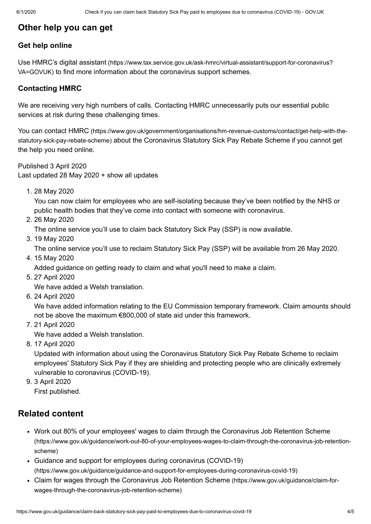## <span id="page-3-1"></span>**Other help you can get**

#### **Get help online**

Use HMRC's digital assistant [\(https://www.tax.service.gov.uk/ask-hmrc/virtual-assistant/support-for-coronavirus?](https://www.tax.service.gov.uk/ask-hmrc/virtual-assistant/support-for-coronavirus?VA=GOVUK) VA=GOVUK) to find more information about the coronavirus support schemes.

#### **Contacting HMRC**

We are receiving very high numbers of calls. Contacting HMRC unnecessarily puts our essential public services at risk during these challenging times.

You can contact HMRC [\(https://www.gov.uk/government/organisations/hm-revenue-customs/contact/get-help-with-the](https://www.gov.uk/government/organisations/hm-revenue-customs/contact/get-help-with-the-statutory-sick-pay-rebate-scheme)statutory-sick-pay-rebate-scheme) about the Coronavirus Statutory Sick Pay Rebate Scheme if you cannot get the help you need online.

<span id="page-3-0"></span>Published 3 April 2020 Last updated 28 May 2020 + show all [updates](#page-3-2)

<span id="page-3-2"></span>1. 28 May 2020

You can now claim for employees who are self-isolating because they've been notified by the NHS or public health bodies that they've come into contact with someone with coronavirus.

2. 26 May 2020

The online service you'll use to claim back Statutory Sick Pay (SSP) is now available.

3. 19 May 2020

The online service you'll use to reclaim Statutory Sick Pay (SSP) will be available from 26 May 2020.

4. 15 May 2020

Added guidance on getting ready to claim and what you'll need to make a claim.

5. 27 April 2020

We have added a Welsh translation.

6. 24 April 2020

We have added information relating to the EU Commission temporary framework. Claim amounts should not be above the maximum €800,000 of state aid under this framework.

7. 21 April 2020

We have added a Welsh translation.

8. 17 April 2020

Updated with information about using the Coronavirus Statutory Sick Pay Rebate Scheme to reclaim employees' Statutory Sick Pay if they are shielding and protecting people who are clinically extremely vulnerable to coronavirus (COVID-19).

9. 3 April 2020

First published.

## **Related content**

- Work out 80% of your employees' wages to claim through the Coronavirus Job Retention Scheme [\(https://www.gov.uk/guidance/work-out-80-of-your-employees-wages-to-claim-through-the-coronavirus-job-retention](https://www.gov.uk/guidance/work-out-80-of-your-employees-wages-to-claim-through-the-coronavirus-job-retention-scheme)scheme)
- Guidance and support for employees during coronavirus (COVID-19) [\(https://www.gov.uk/guidance/guidance-and-support-for-employees-during-coronavirus-covid-19\)](https://www.gov.uk/guidance/guidance-and-support-for-employees-during-coronavirus-covid-19)
- Claim for wages through the Coronavirus Job Retention Scheme (https://www.gov.uk/guidance/claim-for[wages-through-the-coronavirus-job-retention-scheme\)](https://www.gov.uk/guidance/claim-for-wages-through-the-coronavirus-job-retention-scheme)